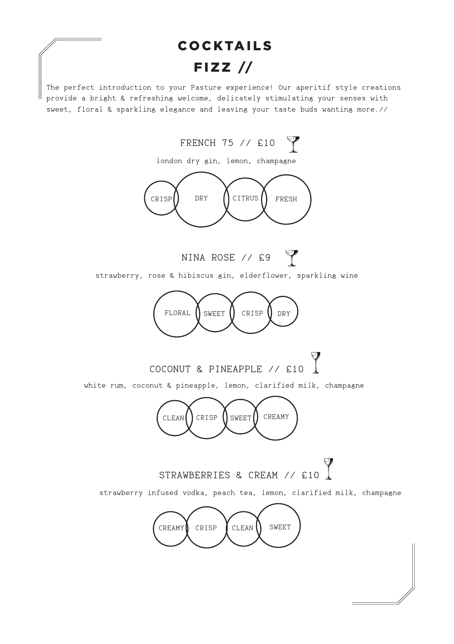# COCKTAILS  $FIZZ$  //

The perfect introduction to your Pasture experience! Our aperitif style creations provide a bright & refreshing welcome, delicately stimulating your senses with sweet, floral & sparkling elegance and leaving your taste buds wanting more.//

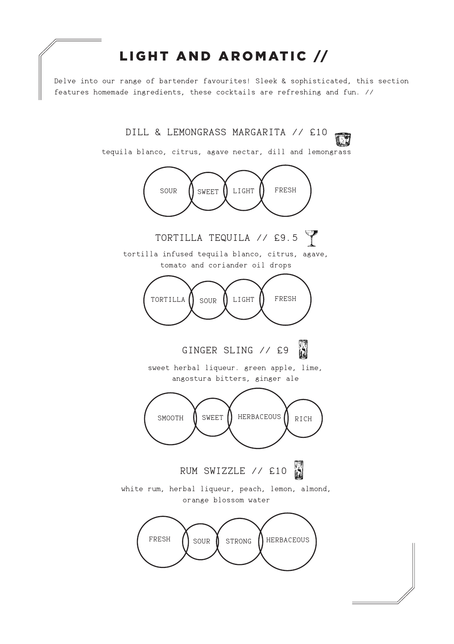## LIGHT AND AROMATIC //

Delve into our range of bartender favourites! Sleek & sophisticated, this section features homemade ingredients, these cocktails are refreshing and fun. //

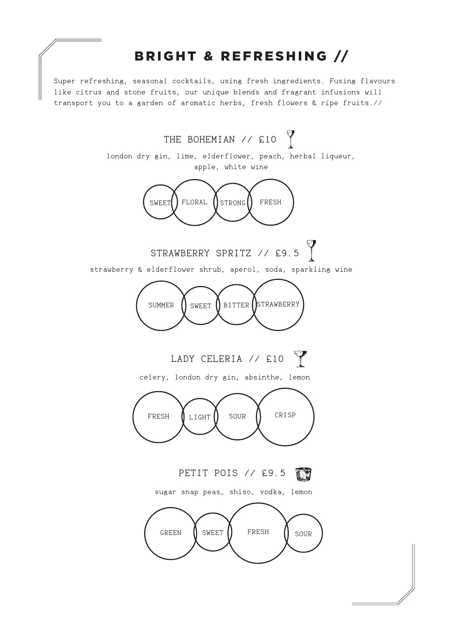## BRIGHT & REFRESHING //

Super refreshing, seasonal cocktails, using fresh ingredients. Fusing flavours like citrus and stone fruits, our unique blends and fragrant infusions will transport you to a garden of aromatic herbs, fresh flowers & ripe fruits.//

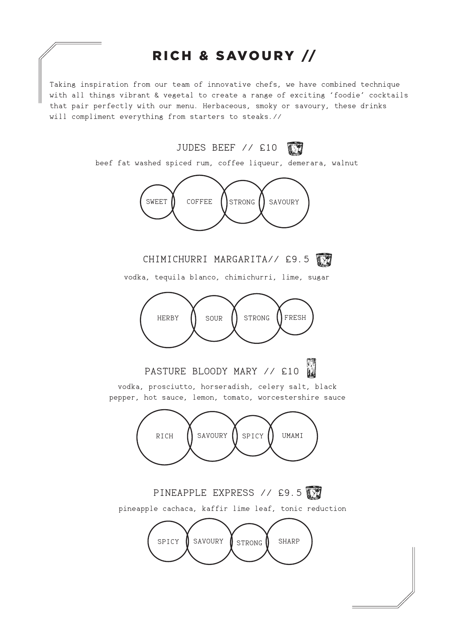## RICH & SAVOURY //

Taking inspiration from our team of innovative chefs, we have combined technique with all things vibrant & vegetal to create a range of exciting 'foodie' cocktails that pair perfectly with our menu. Herbaceous, smoky or savoury, these drinks will compliment everything from starters to steaks.//

JUDES BEEF // £10

beef fat washed spiced rum, coffee liqueur, demerara, walnut



CHIMICHURRI MARGARITA// £9.5

vodka, tequila blanco, chimichurri, lime, sugar



PASTURE BLOODY MARY // £10

vodka, prosciutto, horseradish, celery salt, black pepper, hot sauce, lemon, tomato, worcestershire sauce



PINEAPPLE EXPRESS // £9.5

pineapple cachaca, kaffir lime leaf, tonic reduction

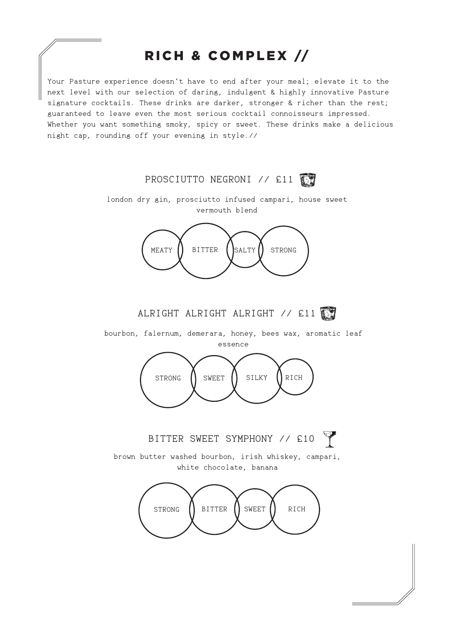## RICH & COMPLEX //

Your Pasture experience doesn't have to end after your meal; elevate it to the next level with our selection of daring, indulgent & highly innovative Pasture signature cocktails. These drinks are darker, stronger & richer than the rest; guaranteed to leave even the most serious cocktail connoisseurs impressed. Whether you want something smoky, spicy or sweet. These drinks make a delicious night cap, rounding off your evening in style.//

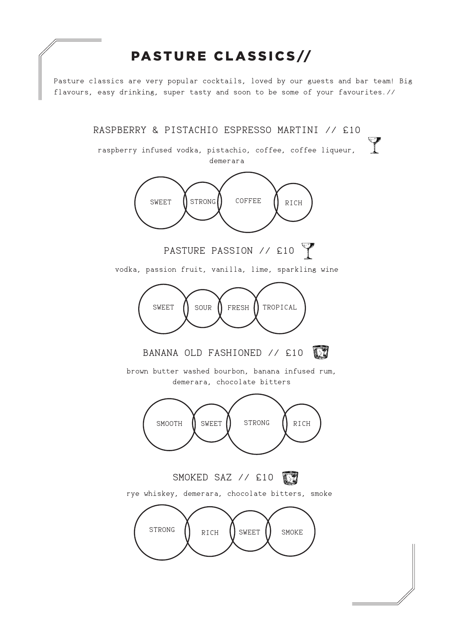## PASTURE CLASSICS//

Pasture classics are very popular cocktails, loved by our guests and bar team! Big flavours, easy drinking, super tasty and soon to be some of your favourites.//

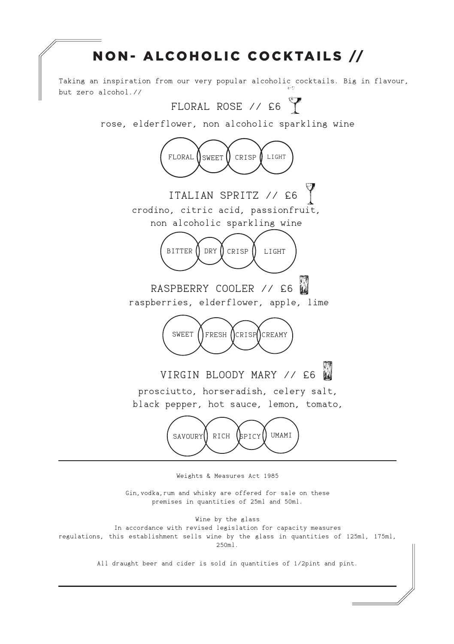## NON- ALCOHOLIC COCKTAILS //



Weights & Measures Act 1985

Gin,vodka,rum and whisky are offered for sale on these premises in quantities of 25ml and 50ml.

Wine by the glass In accordance with revised legislation for capacity measures regulations, this establishment sells wine by the glass in quantities of 125ml, 175ml, 250ml.

All draught beer and cider is sold in quantities of 1/2pint and pint.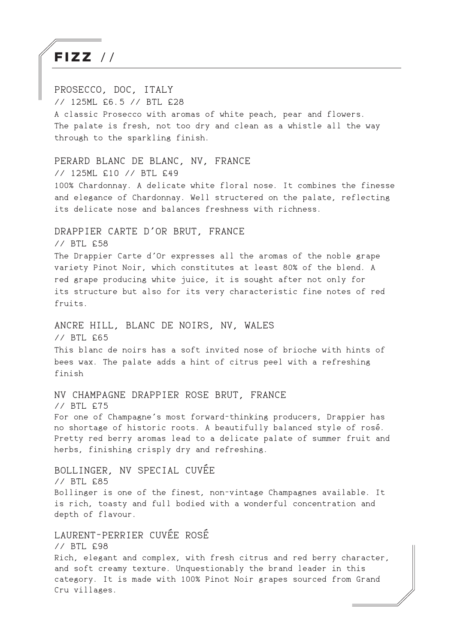FIZZ / /

PROSECCO, DOC, ITALY // 125ML £6.5 // BTL £28 A classic Prosecco with aromas of white peach, pear and flowers. The palate is fresh, not too dry and clean as a whistle all the way through to the sparkling finish. PERARD BLANC DE BLANC, NV, FRANCE // 125ML £10 // BTL £49 100% Chardonnay. A delicate white floral nose. It combines the finesse and elegance of Chardonnay. Well structered on the palate, reflecting its delicate nose and balances freshness with richness. DRAPPIER CARTE D'OR BRUT, FRANCE // BTL £58 The Drappier Carte d'Or expresses all the aromas of the noble grape variety Pinot Noir, which constitutes at least 80% of the blend. A red grape producing white juice, it is sought after not only for its structure but also for its very characteristic fine notes of red fruits. ANCRE HILL, BLANC DE NOIRS, NV, WALES // BTL £65 This blanc de noirs has a soft invited nose of brioche with hints of bees wax. The palate adds a hint of citrus peel with a refreshing finish NV CHAMPAGNE DRAPPIER ROSE BRUT, FRANCE // BTL £75 For one of Champagne's most forward-thinking producers, Drappier has no shortage of historic roots. A beautifully balanced style of rosé. Pretty red berry aromas lead to a delicate palate of summer fruit and herbs, finishing crisply dry and refreshing. BOLLINGER, NV SPECIAL CUVÉE // BTL £85 Bollinger is one of the finest, non-vintage Champagnes available. It is rich, toasty and full bodied with a wonderful concentration and depth of flavour. LAURENT-PERRIER CUVÉE ROSÉ // BTL £98 Rich, elegant and complex, with fresh citrus and red berry character, and soft creamy texture. Unquestionably the brand leader in this category. It is made with 100% Pinot Noir grapes sourced from Grand Cru villages.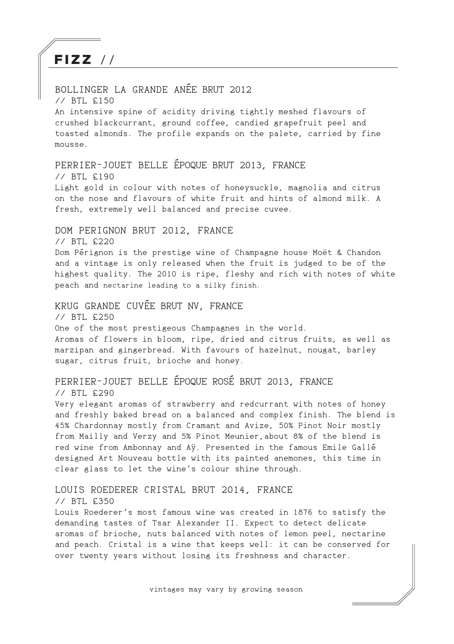# $FIZZ$  //

#### BOLLINGER LA GRANDE ANÉE BRUT 2012

// BTL £150

An intensive spine of acidity driving tightly meshed flavours of crushed blackcurrant, ground coffee, candied grapefruit peel and toasted almonds. The profile expands on the palete, carried by fine mousse.

## PERRIER-JOUET BELLE ÉPOQUE BRUT 2013, FRANCE

// BTL £190

Light gold in colour with notes of honeysuckle, magnolia and citrus on the nose and flavours of white fruit and hints of almond milk. A fresh, extremely well balanced and precise cuvee.

#### DOM PERIGNON BRUT 2012, FRANCE

// BTL £220

Dom Pérignon is the prestige wine of Champagne house Moët & Chandon and a vintage is only released when the fruit is judged to be of the highest quality. The 2010 is ripe, fleshy and rich with notes of white peach and nectarine leading to a silky finish.

#### KRUG GRANDE CUVÉE BRUT NV, FRANCE

// BTL £250 One of the most prestigeous Champagnes in the world. Aromas of flowers in bloom, ripe, dried and citrus fruits, as well as marzipan and gingerbread. With favours of hazelnut, nougat, barley sugar, citrus fruit, brioche and honey.

## PERRIER-JOUET BELLE ÉPOQUE ROSÉ BRUT 2013, FRANCE

// BTL £290

Very elegant aromas of strawberry and redcurrant with notes of honey and freshly baked bread on a balanced and complex finish. The blend is 45% Chardonnay mostly from Cramant and Avize, 50% Pinot Noir mostly from Mailly and Verzy and 5% Pinot Meunier,about 8% of the blend is red wine from Ambonnay and Aÿ. Presented in the famous Emile Gallé designed Art Nouveau bottle with its painted anemones, this time in clear glass to let the wine's colour shine through.

#### LOUIS ROEDERER CRISTAL BRUT 2014, FRANCE

#### // BTL £350

Louis Roederer's most famous wine was created in 1876 to satisfy the demanding tastes of Tsar Alexander II. Expect to detect delicate aromas of brioche, nuts balanced with notes of lemon peel, nectarine and peach. Cristal is a wine that keeps well: it can be conserved for over twenty years without losing its freshness and character.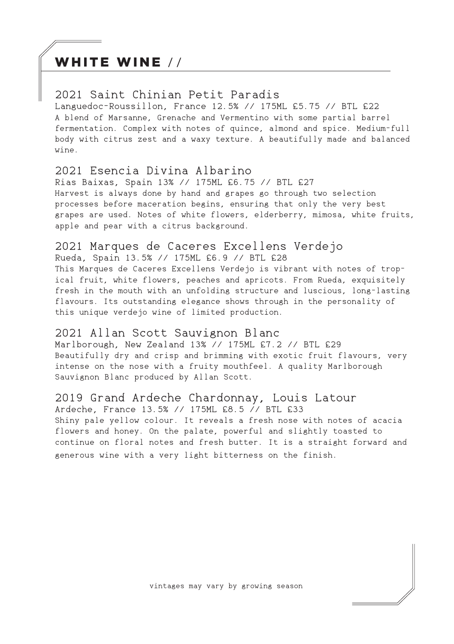## WHITE WINE //

#### 2021 Saint Chinian Petit Paradis

Languedoc-Roussillon, France 12.5% // 175ML £5.75 // BTL £22 A blend of Marsanne, Grenache and Vermentino with some partial barrel fermentation. Complex with notes of quince, almond and spice. Medium-full body with citrus zest and a waxy texture. A beautifully made and balanced wine.

#### 2021 Esencia Divina Albarino

Rias Baixas, Spain 13% // 175ML £6.75 // BTL £27 Harvest is always done by hand and grapes go through two selection processes before maceration begins, ensuring that only the very best grapes are used. Notes of white flowers, elderberry, mimosa, white fruits, apple and pear with a citrus background.

### 2021 Marques de Caceres Excellens Verdejo

Rueda, Spain 13.5% // 175ML £6.9 // BTL £28 This Marques de Caceres Excellens Verdejo is vibrant with notes of tropical fruit, white flowers, peaches and apricots. From Rueda, exquisitely fresh in the mouth with an unfolding structure and luscious, long-lasting flavours. Its outstanding elegance shows through in the personality of this unique verdejo wine of limited production.

#### 2021 Allan Scott Sauvignon Blanc

Marlborough, New Zealand 13% // 175ML £7.2 // BTL £29 Beautifully dry and crisp and brimming with exotic fruit flavours, very intense on the nose with a fruity mouthfeel. A quality Marlborough Sauvignon Blanc produced by Allan Scott.

#### 2019 Grand Ardeche Chardonnay, Louis Latour

Ardeche, France 13.5% // 175ML £8.5 // BTL £33 Shiny pale yellow colour. It reveals a fresh nose with notes of acacia flowers and honey. On the palate, powerful and slightly toasted to continue on floral notes and fresh butter. It is a straight forward and generous wine with a very light bitterness on the finish.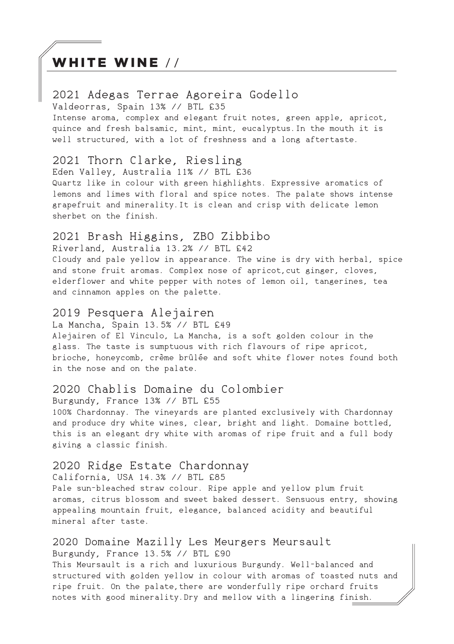## WHITE WINE //

### 2021 Adegas Terrae Agoreira Godello

Valdeorras, Spain 13% // BTL £35

Intense aroma, complex and elegant fruit notes, green apple, apricot, quince and fresh balsamic, mint, mint, eucalyptus.In the mouth it is well structured, with a lot of freshness and a long aftertaste.

#### 2021 Thorn Clarke, Riesling

Eden Valley, Australia 11% // BTL £36

Quartz like in colour with green highlights. Expressive aromatics of lemons and limes with floral and spice notes. The palate shows intense grapefruit and minerality.It is clean and crisp with delicate lemon sherbet on the finish.

#### 2021 Brash Higgins, ZBO Zibbibo

Riverland, Australia 13.2% // BTL £42 Cloudy and pale yellow in appearance. The wine is dry with herbal, spice and stone fruit aromas. Complex nose of apricot, cut ginger, cloves, elderflower and white pepper with notes of lemon oil, tangerines, tea and cinnamon apples on the palette.

### 2019 Pesquera Alejairen

La Mancha, Spain 13.5% // BTL £49

Alejairen of El Vinculo, La Mancha, is a soft golden colour in the glass. The taste is sumptuous with rich flavours of ripe apricot, brioche, honeycomb, crème brûlée and soft white flower notes found both in the nose and on the palate.

#### 2020 Chablis Domaine du Colombier

Burgundy, France 13% // BTL £55

100% Chardonnay. The vineyards are planted exclusively with Chardonnay and produce dry white wines, clear, bright and light. Domaine bottled, this is an elegant dry white with aromas of ripe fruit and a full body giving a classic finish.

#### 2020 Ridge Estate Chardonnay

California, USA 14.3% // BTL £85 Pale sun-bleached straw colour. Ripe apple and yellow plum fruit aromas, citrus blossom and sweet baked dessert. Sensuous entry, showing appealing mountain fruit, elegance, balanced acidity and beautiful mineral after taste.

#### 2020 Domaine Mazilly Les Meurgers Meursault Burgundy, France 13.5% // BTL £90

This Meursault is a rich and luxurious Burgundy. Well-balanced and structured with golden yellow in colour with aromas of toasted nuts and ripe fruit. On the palate, there are wonderfully ripe orchard fruits notes with good minerality.Dry and mellow with a lingering finish.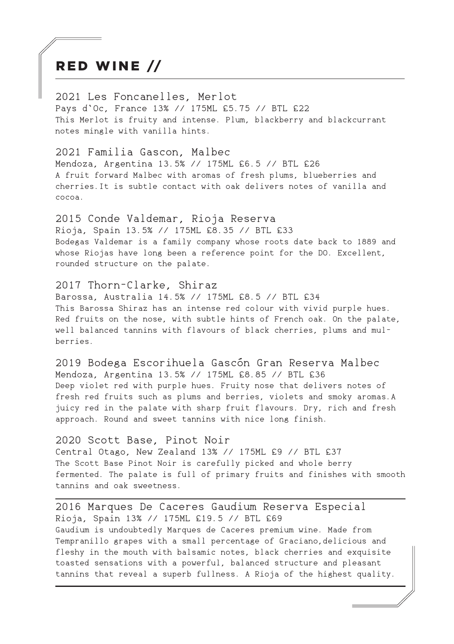## RED WINE //

2021 Les Foncanelles, Merlot Pays d`Oc, France 13% // 175ML £5.75 // BTL £22 This Merlot is fruity and intense. Plum, blackberry and blackcurrant notes mingle with vanilla hints.

2021 Familia Gascon, Malbec Mendoza, Argentina 13.5% // 175ML £6.5 // BTL £26 A fruit forward Malbec with aromas of fresh plums, blueberries and cherries.It is subtle contact with oak delivers notes of vanilla and cocoa.

2015 Conde Valdemar, Rioja Reserva Rioja, Spain 13.5% // 175ML £8.35 // BTL £33 Bodegas Valdemar is a family company whose roots date back to 1889 and whose Riojas have long been a reference point for the DO. Excellent, rounded structure on the palate.

#### 2017 Thorn-Clarke, Shiraz

Barossa, Australia 14.5% // 175ML £8.5 // BTL £34 This Barossa Shiraz has an intense red colour with vivid purple hues. Red fruits on the nose, with subtle hints of French oak. On the palate, well balanced tannins with flavours of black cherries, plums and mulberries.

2019 Bodega Escorihuela Gascón Gran Reserva Malbec Mendoza, Argentina 13.5% // 175ML £8.85 // BTL £36 Deep violet red with purple hues. Fruity nose that delivers notes of fresh red fruits such as plums and berries, violets and smoky aromas.A juicy red in the palate with sharp fruit flavours. Dry, rich and fresh approach. Round and sweet tannins with nice long finish.

#### 2020 Scott Base, Pinot Noir

Central Otago, New Zealand 13% // 175ML £9 // BTL £37 The Scott Base Pinot Noir is carefully picked and whole berry fermented. The palate is full of primary fruits and finishes with smooth tannins and oak sweetness.

2016 Marques De Caceres Gaudium Reserva Especial Rioja, Spain 13% // 175ML £19.5 // BTL £69 Gaudium is undoubtedly Marques de Caceres premium wine. Made from Tempranillo grapes with a small percentage of Graciano, delicious and fleshy in the mouth with balsamic notes, black cherries and exquisite toasted sensations with a powerful, balanced structure and pleasant tannins that reveal a superb fullness. A Rioja of the highest quality.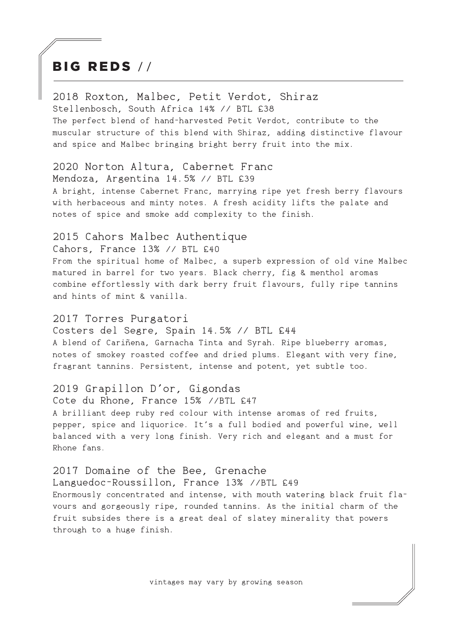## BIG REDS / /

2018 Roxton, Malbec, Petit Verdot, Shiraz Stellenbosch, South Africa 14% // BTL £38 The perfect blend of hand-harvested Petit Verdot, contribute to the muscular structure of this blend with Shiraz, adding distinctive flavour and spice and Malbec bringing bright berry fruit into the mix.

#### 2020 Norton Altura, Cabernet Franc

Mendoza, Argentina 14.5% // BTL £39

A bright, intense Cabernet Franc, marrying ripe yet fresh berry flavours with herbaceous and minty notes. A fresh acidity lifts the palate and notes of spice and smoke add complexity to the finish.

#### 2015 Cahors Malbec Authentique

Cahors, France 13% // BTL £40

From the spiritual home of Malbec, a superb expression of old vine Malbec matured in barrel for two years. Black cherry, fig & menthol aromas combine effortlessly with dark berry fruit flavours, fully ripe tannins and hints of mint & vanilla.

#### 2017 Torres Purgatori

Costers del Segre, Spain 14.5% // BTL £44 A blend of Cariñena, Garnacha Tinta and Syrah. Ripe blueberry aromas, notes of smokey roasted coffee and dried plums. Elegant with very fine, fragrant tannins. Persistent, intense and potent, yet subtle too.

#### 2019 Grapillon D'or, Gigondas

Cote du Rhone, France 15% //BTL £47 A brilliant deep ruby red colour with intense aromas of red fruits, pepper, spice and liquorice. It's a full bodied and powerful wine, well balanced with a very long finish. Very rich and elegant and a must for Rhone fans.

#### 2017 Domaine of the Bee, Grenache

Languedoc-Roussillon, France 13% //BTL £49 Enormously concentrated and intense, with mouth watering black fruit flavours and gorgeously ripe, rounded tannins. As the initial charm of the fruit subsides there is a great deal of slatey minerality that powers through to a huge finish.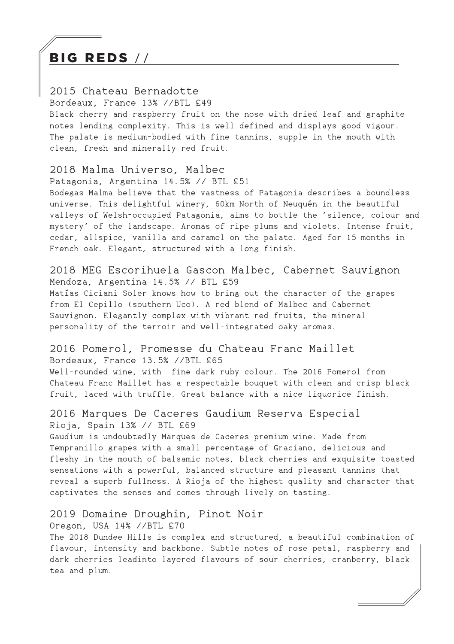## BIG REDS / /

#### 2015 Chateau Bernadotte

Bordeaux, France 13% //BTL £49

Black cherry and raspberry fruit on the nose with dried leaf and graphite notes lending complexity. This is well defined and displays good vigour. The palate is medium-bodied with fine tannins, supple in the mouth with clean, fresh and minerally red fruit.

#### 2018 Malma Universo, Malbec

Patagonia, Argentina 14.5% // BTL £51

Bodegas Malma believe that the vastness of Patagonia describes a boundless universe. This delightful winery, 60km North of Neuquén in the beautiful valleys of Welsh-occupied Patagonia, aims to bottle the 'silence, colour and mystery' of the landscape. Aromas of ripe plums and violets. Intense fruit, cedar, allspice, vanilla and caramel on the palate. Aged for 15 months in French oak. Elegant, structured with a long finish.

#### 2018 MEG Escorihuela Gascon Malbec, Cabernet Sauvignon Mendoza, Argentina 14.5% // BTL £59

Matías Ciciani Soler knows how to bring out the character of the grapes from El Cepillo (southern Uco). A red blend of Malbec and Cabernet Sauvignon. Elegantly complex with vibrant red fruits, the mineral personality of the terroir and well-integrated oaky aromas.

#### 2016 Pomerol, Promesse du Chateau Franc Maillet Bordeaux, France 13.5% //BTL £65

Well-rounded wine, with fine dark ruby colour. The 2016 Pomerol from Chateau Franc Maillet has a respectable bouquet with clean and crisp black fruit, laced with truffle. Great balance with a nice liquorice finish.

#### 2016 Marques De Caceres Gaudium Reserva Especial Rioja, Spain 13% // BTL £69

Gaudium is undoubtedly Marques de Caceres premium wine. Made from Tempranillo grapes with a small percentage of Graciano, delicious and fleshy in the mouth of balsamic notes, black cherries and exquisite toasted sensations with a powerful, balanced structure and pleasant tannins that reveal a superb fullness. A Rioja of the highest quality and character that captivates the senses and comes through lively on tasting.

#### 2019 Domaine Droughin, Pinot Noir

#### Oregon, USA 14% //BTL £70

The 2018 Dundee Hills is complex and structured, a beautiful combination of flavour, intensity and backbone. Subtle notes of rose petal, raspberry and dark cherries leadinto layered flavours of sour cherries, cranberry, black tea and plum.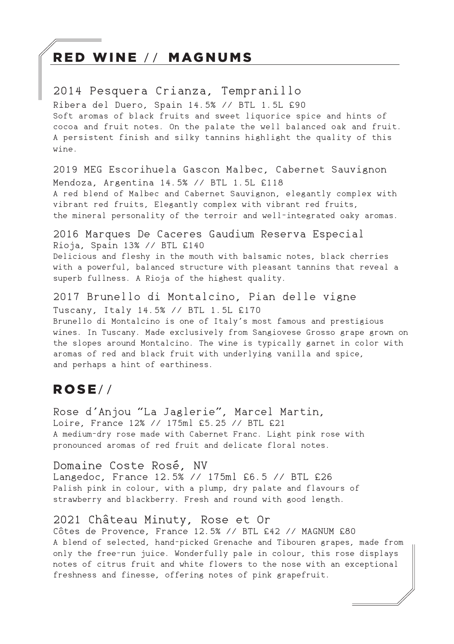## RED WINE // MAGNUMS

2014 Pesquera Crianza, Tempranillo Ribera del Duero, Spain 14.5% // BTL 1.5L £90 Soft aromas of black fruits and sweet liquorice spice and hints of cocoa and fruit notes. On the palate the well balanced oak and fruit. A persistent finish and silky tannins highlight the quality of this  $wine$ 

2019 MEG Escorihuela Gascon Malbec, Cabernet Sauvignon Mendoza, Argentina 14.5% // BTL 1.5L £118 A red blend of Malbec and Cabernet Sauvignon, elegantly complex with vibrant red fruits, Elegantly complex with vibrant red fruits, the mineral personality of the terroir and well-integrated oaky aromas.

2016 Marques De Caceres Gaudium Reserva Especial Rioja, Spain 13% // BTL £140 Delicious and fleshy in the mouth with balsamic notes, black cherries with a powerful, balanced structure with pleasant tannins that reveal a superb fullness. A Rioja of the highest quality.

2017 Brunello di Montalcino, Pian delle vigne Tuscany, Italy 14.5% // BTL 1.5L £170 Brunello di Montalcino is one of Italy's most famous and prestigious wines. In Tuscany. Made exclusively from Sangiovese Grosso grape grown on the slopes around Montalcino. The wine is typically garnet in color with aromas of red and black fruit with underlying vanilla and spice, and perhaps a hint of earthiness.

### ROSE/ /

Rose d'Anjou "La Jaglerie", Marcel Martin, Loire, France 12% // 175ml £5.25 // BTL £21 A medium-dry rose made with Cabernet Franc. Light pink rose with pronounced aromas of red fruit and delicate floral notes.

#### Domaine Coste Rosé, NV

Langedoc, France 12.5% // 175ml £6.5 // BTL £26 Palish pink in colour, with a plump, dry palate and flavours of strawberry and blackberry. Fresh and round with good length.

#### 2021 Château Minuty, Rose et Or

Côtes de Provence, France 12.5% // BTL £42 // MAGNUM £80 A blend of selected, hand-picked Grenache and Tibouren grapes, made from only the free-run juice. Wonderfully pale in colour, this rose displays notes of citrus fruit and white flowers to the nose with an exceptional freshness and finesse, offering notes of pink grapefruit.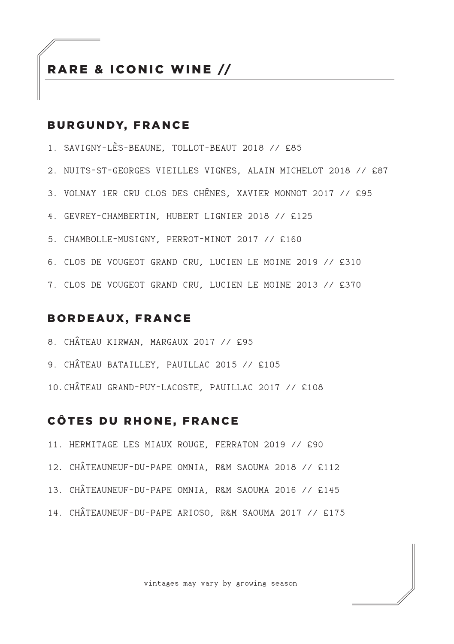### RARE & ICONIC WINE //

#### BURGUNDY, FRANCE

- 1. SAVIGNY-LÈS-BEAUNE, TOLLOT-BEAUT 2018 // £85
- 2. NUITS-ST-GEORGES VIEILLES VIGNES, ALAIN MICHELOT 2018 // £87
- 3. VOLNAY 1ER CRU CLOS DES CHÊNES, XAVIER MONNOT 2017 // £95
- 4. GEVREY-CHAMBERTIN, HUBERT LIGNIER 2018 // £125
- 5. CHAMBOLLE-MUSIGNY, PERROT-MINOT 2017 // £160
- 6. CLOS DE VOUGEOT GRAND CRU, LUCIEN LE MOINE 2019 // £310
- 7. CLOS DE VOUGEOT GRAND CRU, LUCIEN LE MOINE 2013 // £370

#### BORDEAUX, FRANCE

- 8. CHÂTEAU KIRWAN, MARGAUX 2017 // £95
- 9. CHÂTEAU BATAILLEY, PAUILLAC 2015 // £105
- 10.CHÂTEAU GRAND-PUY-LACOSTE, PAUILLAC 2017 // £108

### CÔTES DU RHONE, FRANCE

- 11. HERMITAGE LES MIAUX ROUGE, FERRATON 2019 // £90
- 12. CHÂTEAUNEUF-DU-PAPE OMNIA, R&M SAOUMA 2018 // £112
- 13. CHÂTEAUNEUF-DU-PAPE OMNIA, R&M SAOUMA 2016 // £145
- 14. CHÂTEAUNEUF-DU-PAPE ARIOSO, R&M SAOUMA 2017 // £175

vintages may vary by growing season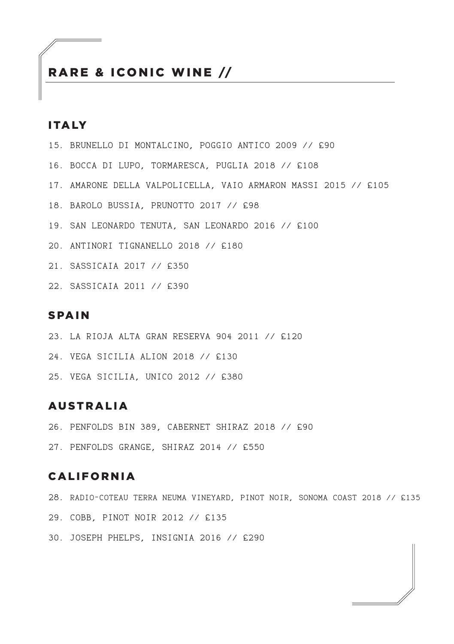### RARE & ICONIC WINE //

#### ITALY

- 15. BRUNELLO DI MONTALCINO, POGGIO ANTICO 2009 // £90
- 16. BOCCA DI LUPO, TORMARESCA, PUGLIA 2018 // £108
- 17. AMARONE DELLA VALPOLICELLA, VAIO ARMARON MASSI 2015 // £105
- 18. BAROLO BUSSIA, PRUNOTTO 2017 // £98
- 19. SAN LEONARDO TENUTA, SAN LEONARDO 2016 // £100
- 20. ANTINORI TIGNANELLO 2018 // £180
- 21. SASSICAIA 2017 // £350
- 22. SASSICAIA 2011 // £390

#### SPAIN

- 23. LA RIOJA ALTA GRAN RESERVA 904 2011 // £120
- 24. VEGA SICILIA ALION 2018 // £130
- 25. VEGA SICILIA, UNICO 2012 // £380

#### AUSTRALIA

- 26. PENFOLDS BIN 389, CABERNET SHIRAZ 2018 // £90
- 27. PENFOLDS GRANGE, SHIRAZ 2014 // £550

#### CALIFORNIA

- 28. RADIO-COTEAU TERRA NEUMA VINEYARD, PINOT NOIR, SONOMA COAST 2018 // £135
- 29. COBB, PINOT NOIR 2012 // £135
- 30. JOSEPH PHELPS, INSIGNIA 2016 // £290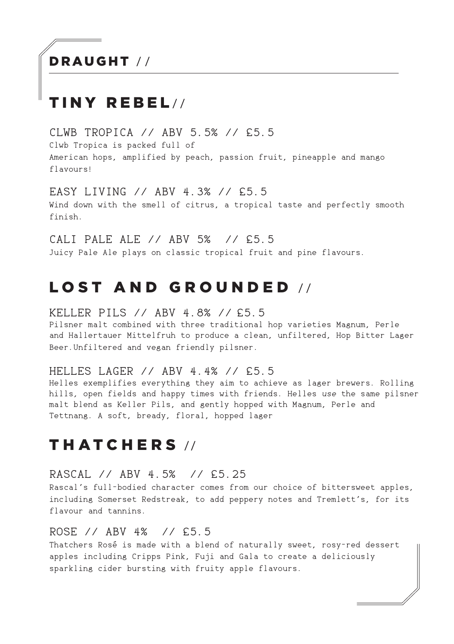# DRAUGHT / /

# TINY REBEL//

CLWB TROPICA // ABV 5.5% // £5.5 Clwb Tropica is packed full of American hops, amplified by peach, passion fruit, pineapple and mango flavours!

EASY LIVING // ABV 4.3% // £5.5 Wind down with the smell of citrus, a tropical taste and perfectly smooth finish.

CALI PALE ALE // ABV 5% // £5.5 Juicy Pale Ale plays on classic tropical fruit and pine flavours.

## LOST AND GROUNDED //

KELLER PILS // ABV 4.8% // £5.5

Pilsner malt combined with three traditional hop varieties Magnum, Perle and Hallertauer Mittelfruh to produce a clean, unfiltered, Hop Bitter Lager Beer.Unfiltered and vegan friendly pilsner.

#### HELLES LAGER // ABV 4.4% // £5.5

Helles exemplifies everything they aim to achieve as lager brewers. Rolling hills, open fields and happy times with friends. Helles use the same pilsner malt blend as Keller Pils, and gently hopped with Magnum, Perle and Tettnang. A soft, bready, floral, hopped lager

## THATCHERS //

#### RASCAL // ABV 4.5% // £5.25

Rascal's full-bodied character comes from our choice of bittersweet apples, including Somerset Redstreak, to add peppery notes and Tremlett's, for its flavour and tannins.

#### ROSE // ABV 4% // £5.5

Thatchers Rosé is made with a blend of naturally sweet, rosy-red dessert apples including Cripps Pink, Fuji and Gala to create a deliciously sparkling cider bursting with fruity apple flavours.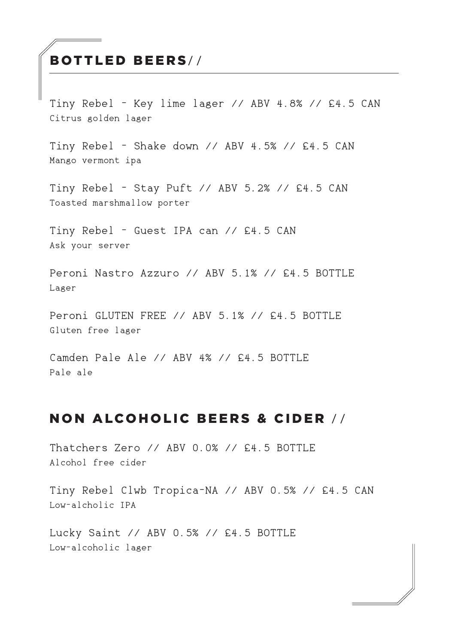## BOTTLED BEERS/ /

Tiny Rebel - Key lime lager // ABV 4.8% // £4.5 CAN Citrus golden lager

Tiny Rebel - Shake down // ABV 4.5% // £4.5 CAN Mango vermont ipa

Tiny Rebel - Stay Puft // ABV 5.2% // £4.5 CAN Toasted marshmallow porter

Tiny Rebel - Guest IPA can // £4.5 CAN Ask your server

Peroni Nastro Azzuro // ABV 5.1% // £4.5 BOTTLE Lager

Peroni GLUTEN FREE // ABV 5.1% // £4.5 BOTTLE Gluten free lager

Camden Pale Ale // ABV 4% // £4.5 BOTTLE Pale ale

## NON ALCOHOLIC BEERS & CIDER / /

Thatchers Zero // ABV 0.0% // £4.5 BOTTLE Alcohol free cider

Tiny Rebel Clwb Tropica-NA // ABV 0.5% // £4.5 CAN Low-alcholic IPA

Lucky Saint // ABV 0.5% // £4.5 BOTTLE Low-alcoholic lager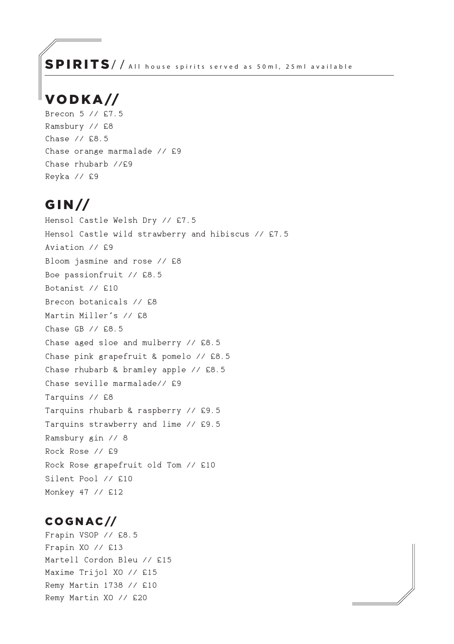SPIRITS/ / All house spirits served as 50ml, 25ml available

## VO D K A //

Brecon 5 // £7.5 Ramsbury // £8 Chase // £8.5 Chase orange marmalade // £9 Chase rhubarb //£9 Reyka // £9

## G I N //

Hensol Castle Welsh Dry // £7.5 Hensol Castle wild strawberry and hibiscus // £7.5 Aviation // £9 Bloom jasmine and rose // £8 Boe passionfruit // £8.5 Botanist // £10 Brecon botanicals // £8 Martin Miller's // £8 Chase GB // £8.5 Chase aged sloe and mulberry // £8.5 Chase pink grapefruit & pomelo // £8.5 Chase rhubarb & bramley apple // £8.5 Chase seville marmalade// £9 Tarquins // £8 Tarquins rhubarb & raspberry // £9.5 Tarquins strawberry and lime // £9.5 Ramsbury gin // 8 Rock Rose // £9 Rock Rose grapefruit old Tom // £10 Silent Pool // £10 Monkey 47 // £12

### C O G N AC //

Frapin VSOP // £8.5 Frapin XO // £13 Martell Cordon Bleu // £15 Maxime Trijol XO // £15 Remy Martin 1738 // £10 Remy Martin XO // £20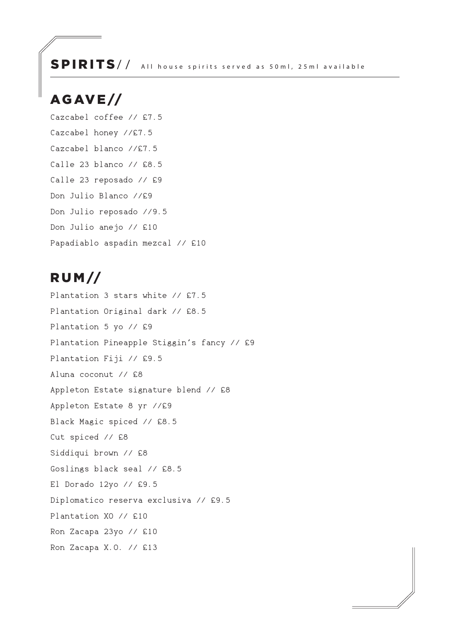### SPIRITS// All house spirits served as 50ml, 25ml available

## AG AV E //

Cazcabel coffee // £7.5 Cazcabel honey //£7.5 Cazcabel blanco //£7.5 Calle 23 blanco // £8.5 Calle 23 reposado // £9 Don Julio Blanco //£9 Don Julio reposado //9.5 Don Julio anejo // £10 Papadiablo aspadin mezcal // £10

## R U M //

Plantation 3 stars white // £7.5 Plantation Original dark // £8.5 Plantation 5 yo // £9 Plantation Pineapple Stiggin's fancy // £9 Plantation Fiji // £9.5 Aluna coconut // £8 Appleton Estate signature blend // £8 Appleton Estate 8 yr //£9 Black Magic spiced // £8.5 Cut spiced // £8 Siddiqui brown // £8 Goslings black seal // £8.5 El Dorado 12yo // £9.5 Diplomatico reserva exclusiva // £9.5 Plantation XO // £10 Ron Zacapa 23yo // £10 Ron Zacapa X.O. // £13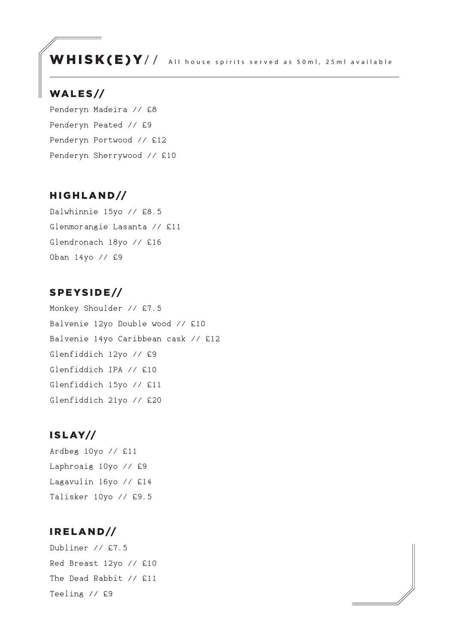WHISK(E)Y// All house spirits served as 50ml, 25ml available

### WALES//

Penderyn Madeira // £8 Penderyn Peated // £9 Penderyn Portwood // £12 Penderyn Sherrywood // £10

#### HIGHLAND//

Dalwhinnie 15yo // £8.5 Glenmorangie Lasanta // £11 Glendronach 18yo // £16 Oban 14yo // £9

#### SPEYSIDE//

Monkey Shoulder // £7.5 Balvenie 12yo Double wood // £10 Balvenie 14yo Caribbean cask // £12 Glenfiddich 12yo // £9 Glenfiddich IPA // £10 Glenfiddich 15yo // £11 Glenfiddich 21yo // £20

### I S L AY//

Ardbeg 10yo // £11 Laphroaig 10yo // £9 Lagavulin 16yo // £14 Talisker 10yo // £9.5

#### I R E L A N D//

Dubliner // £7.5 Red Breast 12yo // £10 The Dead Rabbit // £11 Teeling // £9

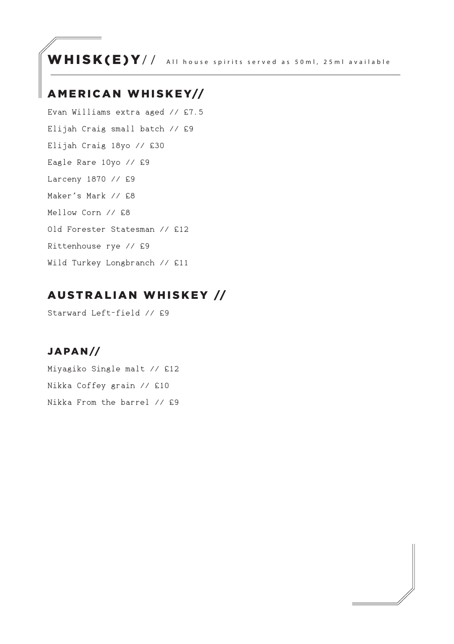WHISK(E)Y// All house spirits served as 50ml, 25ml available

### A MERICAN WHISKEY//

Evan Williams extra aged // £7.5 Elijah Craig small batch // £9 Elijah Craig 18yo // £30 Eagle Rare 10yo // £9 Larceny 1870 // £9 Maker's Mark // £8 Mellow Corn // £8 Old Forester Statesman // £12 Rittenhouse rye // £9 Wild Turkey Longbranch // £11

## AUSTRALIAN WHISKEY //

Starward Left-field // £9

### JA PA N //

Miyagiko Single malt // £12 Nikka Coffey grain // £10 Nikka From the barrel // £9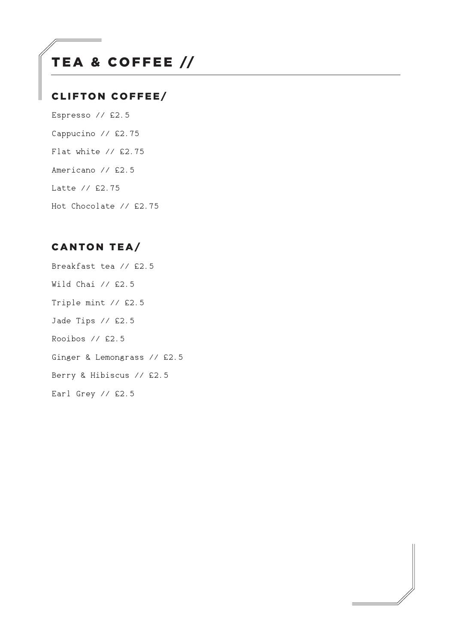# TEA & COFFEE //

### CLIFTON COFFEE/

Espresso // £2.5 Cappucino // £2.75 Flat white // £2.75 Americano // £2.5 Latte // £2.75 Hot Chocolate // £2.75

### CANTON TEA/

Breakfast tea // £2.5 Wild Chai // £2.5 Triple mint // £2.5 Jade Tips // £2.5 Rooibos // £2.5 Ginger & Lemongrass // £2.5 Berry & Hibiscus // £2.5 Earl Grey // £2.5